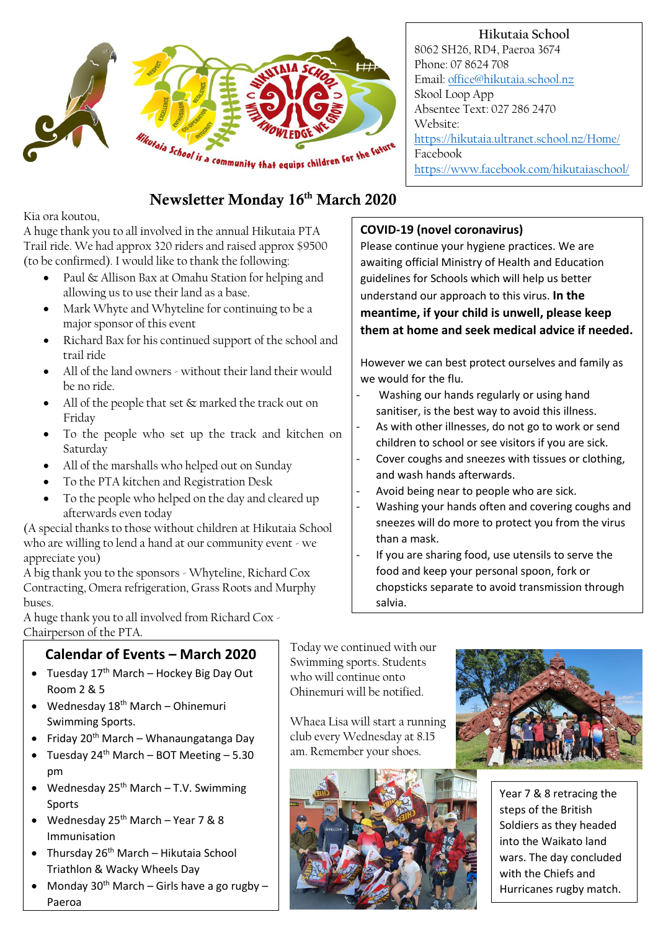

# Newsletter Monday 16<sup>th</sup> March 2020

Kia ora koutou,

A huge thank you to all involved in the annual Hikutaia PTA Trail ride. We had approx 320 riders and raised approx \$9500 (to be confirmed). I would like to thank the following:

- Paul & Allison Bax at Omahu Station for helping and allowing us to use their land as a base.
- Mark Whyte and Whyteline for continuing to be a major sponsor of this event
- Richard Bax for his continued support of the school and trail ride
- All of the land owners without their land their would be no ride.
- All of the people that set & marked the track out on Friday
- To the people who set up the track and kitchen on Saturday
- All of the marshalls who helped out on Sunday
- To the PTA kitchen and Registration Desk
- To the people who helped on the day and cleared up afterwards even today

(A special thanks to those without children at Hikutaia School who are willing to lend a hand at our community event - we appreciate you)

A big thank you to the sponsors - Whyteline, Richard Cox Contracting, Omera refrigeration, Grass Roots and Murphy buses.

A huge thank you to all involved from Richard Cox - Chairperson of the PTA.

## **Calendar of Events – March 2020**

- Tuesday  $17<sup>th</sup>$  March Hockey Big Day Out Room 2 & 5
- $\bullet$  Wednesday 18<sup>th</sup> March Ohinemuri Swimming Sports.
- Friday  $20^{th}$  March Whanaungatanga Day
- Tuesday  $24^{th}$  March BOT Meeting 5.30 pm
- Wednesday  $25^{th}$  March T.V. Swimming Sports
- Wednesday  $25^{th}$  March Year 7 & 8 Immunisation
- $\bullet$  Thursday 26<sup>th</sup> March Hikutaia School Triathlon & Wacky Wheels Day
- Monday 30<sup>th</sup> March Girls have a go rugby Paeroa

**Hikutaia School** 8062 SH26, RD4, Paeroa 3674 Phone: 07 8624 708 Email[: office@hikutaia.school.nz](mailto:office@hikutaia.school.nz) Skool Loop App Absentee Text: 027 286 2470 Website: <https://hikutaia.ultranet.school.nz/Home/> Facebook <https://www.facebook.com/hikutaiaschool/>

### **COVID-19 (novel coronavirus)**

Please continue your hygiene practices. We are awaiting official Ministry of Health and Education guidelines for Schools which will help us better understand our approach to this virus. **In the meantime, if your child is unwell, please keep them at home and seek medical advice if needed.**

However we can best protect ourselves and family as we would for the flu.

- Washing our hands regularly or using hand sanitiser, is the best way to avoid this illness.
- As with other illnesses, do not go to work or send children to school or see visitors if you are sick.
- Cover coughs and sneezes with tissues or clothing, and wash hands afterwards.
- Avoid being near to people who are sick.
- Washing your hands often and covering coughs and sneezes will do more to protect you from the virus than a mask.
- If you are sharing food, use utensils to serve the food and keep your personal spoon, fork or chopsticks separate to avoid transmission through salvia.

Today we continued with our Swimming sports. Students who will continue onto Ohinemuri will be notified.

Whaea Lisa will start a running club every Wednesday at 8.15 am. Remember your shoes.



Year 7 & 8 retracing the steps of the British Soldiers as they headed into the Waikato land wars. The day concluded with the Chiefs and Hurricanes rugby match.